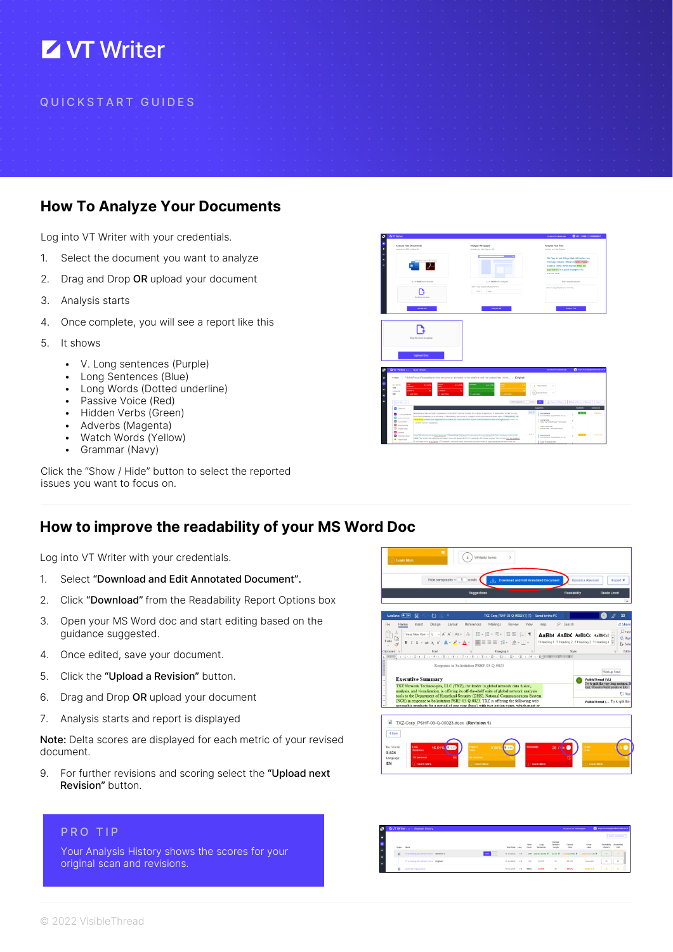# **Z VT Writer**

#### Q U I C K S T A R T G U I D E S

## How To Analyze Your Documents

Log into VT Writer with your credentials.

- 1. Select the document you want to analyze
- 2. Drag and Drop OR upload your document
- 3. Analysis starts
- 4. Once complete, you will see a report like this
- 5. It shows
	- V. Long sentences (Purple)
	- Long Sentences (Blue)
	- Long Words (Dotted underline)
	- Passive Voice (Red)
	- Hidden Verbs (Green)
	- Adverbs (Magenta)
	- Watch Words (Yellow)
	- Grammar (Navy)



Click the "Show / Hide" button to select the reported issues you want to focus on.

#### How to improve the readability of your MS Word Doc

Log into VT Writer with your credentials.

- 1. Select "Download and Edit Annotated Document".
- 2. Click "Download" from the Readability Report Options box
- 3. Open your MS Word doc and start editing based on the guidance suggested.
- 4. Once edited, save your document.
- 5. Click the "Upload a Revision" button.
- 6. Drag and Drop OR upload your document
- 7. Analysis starts and report is displayed

Note: Delta scores are displayed for each metric of your revised document.

9. For further revisions and scoring select the "Upload next" Revision" button.

#### PRO TIP

Your Analysis History shows the scores for your original scan and revisions.



| л                   |            | Ta VT Writer 112   Analysis History            |             |                   |    |               |                   |                    | <b>Pacific and the Children of Han-</b> |                       | <b>O</b> Impairmance/productional.com/# |
|---------------------|------------|------------------------------------------------|-------------|-------------------|----|---------------|-------------------|--------------------|-----------------------------------------|-----------------------|-----------------------------------------|
|                     |            |                                                |             |                   |    |               |                   |                    |                                         |                       | <b>Copier Scott Education</b>           |
| ш<br>$\mathbf{z}_i$ | Scans Nome |                                                |             | Scan Date Lang    |    | Word<br>Count | Long<br>Sentences | Sentence<br>Length | Patroles<br>Voice                       | <b>Grade</b><br>Lovel | Readability<br>(LDO)                    |
|                     | 달          | VIII, Training, Dec, Version 3 does Beniton 11 | $\sim$ $-1$ |                   |    |               |                   |                    | 229 00081-2000 * 124-0 * 55084-2770 *   | Grade 8.26-1.41 &     | 57                                      |
| ۰.                  |            | VTR,Training,Zec,Version Tubocc (Drighab)      |             | 10 Jan 2022    QH |    | 345           | 31.00%            | $^{35}$            | 33,35%                                  | $6$ cada 94           | 54<br>$40$                              |
|                     |            | <b>Sentized Progressi doce</b>                 |             | 10 Day 2021       | 32 | ERM           | 15,05%            | m                  | <b>MAPL</b>                             | <b>Grade 10.8</b>     | 34<br>48                                |